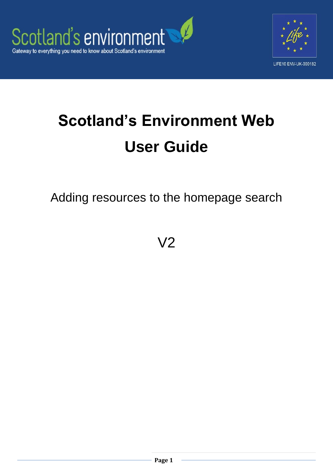



# **Scotland's Environment Web User Guide**

Adding resources to the homepage search

V2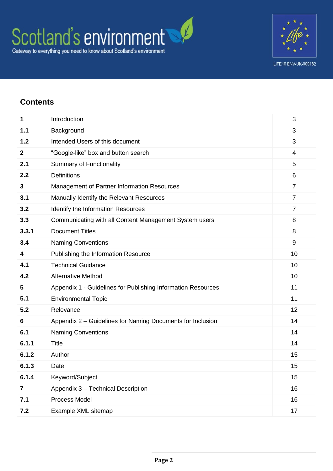

## **Contents**

| 1     | Introduction                                                 | 3              |
|-------|--------------------------------------------------------------|----------------|
| 1.1   | Background                                                   | 3              |
| 1.2   | Intended Users of this document                              | 3              |
| 2     | "Google-like" box and button search                          | $\overline{4}$ |
| 2.1   | <b>Summary of Functionality</b>                              | 5              |
| 2.2   | <b>Definitions</b>                                           | 6              |
| 3     | Management of Partner Information Resources                  | $\overline{7}$ |
| 3.1   | Manually Identify the Relevant Resources                     | $\overline{7}$ |
| 3.2   | Identify the Information Resources                           | $\overline{7}$ |
| 3.3   | Communicating with all Content Management System users       | 8              |
| 3.3.1 | <b>Document Titles</b>                                       | 8              |
| 3.4   | <b>Naming Conventions</b>                                    | 9              |
| 4     | Publishing the Information Resource                          | 10             |
| 4.1   | <b>Technical Guidance</b>                                    | 10             |
| 4.2   | <b>Alternative Method</b>                                    | 10             |
| 5     | Appendix 1 - Guidelines for Publishing Information Resources | 11             |
| 5.1   | <b>Environmental Topic</b>                                   | 11             |
| 5.2   | Relevance                                                    | 12             |
| 6     | Appendix 2 – Guidelines for Naming Documents for Inclusion   | 14             |
| 6.1   | <b>Naming Conventions</b>                                    | 14             |
| 6.1.1 | <b>Title</b>                                                 | 14             |
| 6.1.2 | Author                                                       | 15             |
| 6.1.3 | Date                                                         | 15             |
| 6.1.4 | Keyword/Subject                                              | 15             |
| 7     | Appendix 3 - Technical Description                           | 16             |
| 7.1   | Process Model                                                | 16             |
| 7.2   | Example XML sitemap                                          | 17             |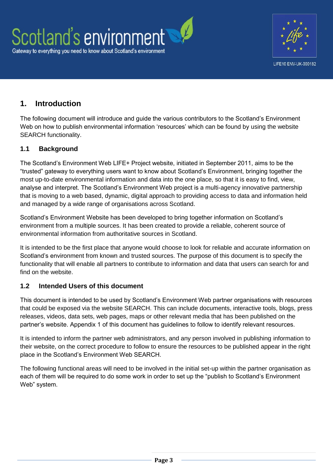

## **1. Introduction**

The following document will introduce and guide the various contributors to the Scotland's Environment Web on how to publish environmental information 'resources' which can be found by using the website SEARCH functionality.

#### **1.1 Background**

The Scotland's Environment Web LIFE+ Project website, initiated in September 2011, aims to be the "trusted" gateway to everything users want to know about Scotland's Environment, bringing together the most up-to-date environmental information and data into the one place, so that it is easy to find, view, analyse and interpret. The Scotland's Environment Web project is a multi-agency innovative partnership that is moving to a web based, dynamic, digital approach to providing access to data and information held and managed by a wide range of organisations across Scotland.

Scotland's Environment Website has been developed to bring together information on Scotland's environment from a multiple sources. It has been created to provide a reliable, coherent source of environmental information from authoritative sources in Scotland.

It is intended to be the first place that anyone would choose to look for reliable and accurate information on Scotland's environment from known and trusted sources. The purpose of this document is to specify the functionality that will enable all partners to contribute to information and data that users can search for and find on the website.

#### **1.2 Intended Users of this document**

This document is intended to be used by Scotland's Environment Web partner organisations with resources that could be exposed via the website SEARCH. This can include documents, interactive tools, blogs, press releases, videos, data sets, web pages, maps or other relevant media that has been published on the partner's website. Appendix 1 of this document has guidelines to follow to identify relevant resources.

It is intended to inform the partner web administrators, and any person involved in publishing information to their website, on the correct procedure to follow to ensure the resources to be published appear in the right place in the Scotland's Environment Web SEARCH.

The following functional areas will need to be involved in the initial set-up within the partner organisation as each of them will be required to do some work in order to set up the "publish to Scotland's Environment Web" system.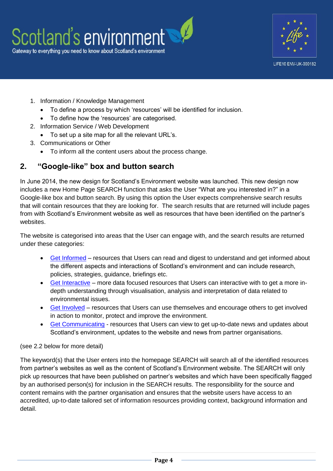



- 1. Information / Knowledge Management
	- To define a process by which 'resources' will be identified for inclusion.
	- To define how the 'resources' are categorised.
- 2. Information Service / Web Development
	- To set up a site map for all the relevant URL's.
- 3. Communications or Other
	- To inform all the content users about the process change.

## **2. "Google-like" box and button search**

In June 2014, the new design for Scotland's Environment website was launched. This new design now includes a new Home Page SEARCH function that asks the User "What are you interested in?" in a Google-like box and button search. By using this option the User expects comprehensive search results that will contain resources that they are looking for. The search results that are returned will include pages from with Scotland's Environment website as well as resources that have been identified on the partner's websites.

The website is categorised into areas that the User can engage with, and the search results are returned under these categories:

- [Get Informed](http://www.environment.scotland.gov.uk/get-informed/) resources that Users can read and digest to understand and get informed about the different aspects and interactions of Scotland's environment and can include research, policies, strategies, guidance, briefings etc.
- [Get Interactive](http://www.environment.scotland.gov.uk/get-interactive/) more data focused resources that Users can interactive with to get a more indepth understanding through visualisation, analysis and interpretation of data related to environmental issues.
- [Get Involved](http://www.environment.scotland.gov.uk/get-involved/) resources that Users can use themselves and encourage others to get involved in action to monitor, protect and improve the environment.
- [Get Communicating](http://www.environment.scotland.gov.uk/get-communicating/) resources that Users can view to get up-to-date news and updates about Scotland's environment, updates to the website and news from partner organisations.

#### (see 2.2 below for more detail)

The keyword(s) that the User enters into the homepage SEARCH will search all of the identified resources from partner's websites as well as the content of Scotland's Environment website. The SEARCH will only pick up resources that have been published on partner's websites and which have been specifically flagged by an authorised person(s) for inclusion in the SEARCH results. The responsibility for the source and content remains with the partner organisation and ensures that the website users have access to an accredited, up-to-date tailored set of information resources providing context, background information and detail.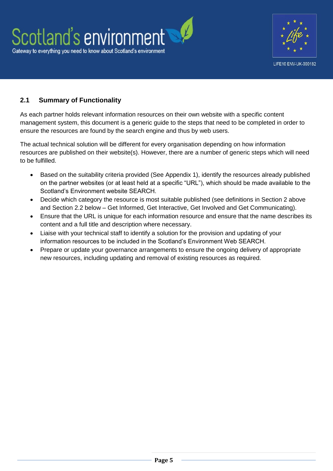



#### **2.1 Summary of Functionality**

As each partner holds relevant information resources on their own website with a specific content management system, this document is a generic guide to the steps that need to be completed in order to ensure the resources are found by the search engine and thus by web users.

The actual technical solution will be different for every organisation depending on how information resources are published on their website(s). However, there are a number of generic steps which will need to be fulfilled.

- Based on the suitability criteria provided (See Appendix 1), identify the resources already published on the partner websites (or at least held at a specific "URL"), which should be made available to the Scotland's Environment website SEARCH.
- Decide which category the resource is most suitable published (see definitions in Section 2 above and Section 2.2 below – Get Informed, Get Interactive, Get Involved and Get Communicating).
- Ensure that the URL is unique for each information resource and ensure that the name describes its content and a full title and description where necessary.
- Liaise with your technical staff to identify a solution for the provision and updating of your information resources to be included in the Scotland's Environment Web SEARCH.
- Prepare or update your governance arrangements to ensure the ongoing delivery of appropriate new resources, including updating and removal of existing resources as required.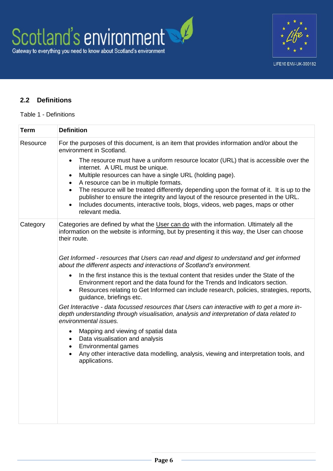

#### **2.2 Definitions**

#### Table 1 - Definitions

| <b>Term</b> | <b>Definition</b>                                                                                                                                                                                                                                                                                                                                             |
|-------------|---------------------------------------------------------------------------------------------------------------------------------------------------------------------------------------------------------------------------------------------------------------------------------------------------------------------------------------------------------------|
| Resource    | For the purposes of this document, is an item that provides information and/or about the<br>environment in Scotland.                                                                                                                                                                                                                                          |
|             | The resource must have a uniform resource locator (URL) that is accessible over the<br>$\bullet$<br>internet. A URL must be unique.<br>Multiple resources can have a single URL (holding page).<br>$\bullet$                                                                                                                                                  |
|             | A resource can be in multiple formats.<br>٠<br>The resource will be treated differently depending upon the format of it. It is up to the<br>$\bullet$<br>publisher to ensure the integrity and layout of the resource presented in the URL.<br>Includes documents, interactive tools, blogs, videos, web pages, maps or other<br>$\bullet$<br>relevant media. |
| Category    | Categories are defined by what the User can do with the information. Ultimately all the<br>information on the website is informing, but by presenting it this way, the User can choose<br>their route.                                                                                                                                                        |
|             | Get Informed - resources that Users can read and digest to understand and get informed<br>about the different aspects and interactions of Scotland's environment.                                                                                                                                                                                             |
|             | In the first instance this is the textual content that resides under the State of the<br>$\bullet$<br>Environment report and the data found for the Trends and Indicators section.<br>Resources relating to Get Informed can include research, policies, strategies, reports,<br>$\bullet$<br>guidance, briefings etc.                                        |
|             | Get Interactive - data focussed resources that Users can interactive with to get a more in-<br>depth understanding through visualisation, analysis and interpretation of data related to<br>environmental issues.                                                                                                                                             |
|             | Mapping and viewing of spatial data<br>٠<br>Data visualisation and analysis<br>$\bullet$<br>Environmental games<br>$\bullet$                                                                                                                                                                                                                                  |
|             | Any other interactive data modelling, analysis, viewing and interpretation tools, and<br>$\bullet$<br>applications.                                                                                                                                                                                                                                           |
|             |                                                                                                                                                                                                                                                                                                                                                               |
|             |                                                                                                                                                                                                                                                                                                                                                               |
|             |                                                                                                                                                                                                                                                                                                                                                               |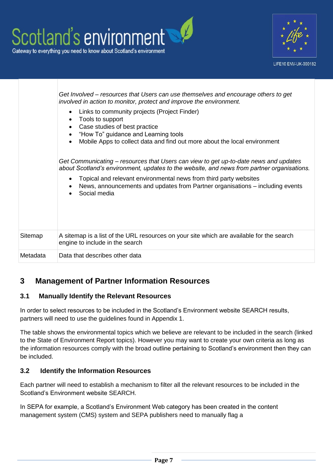

## **3 Management of Partner Information Resources**

## **3.1 Manually Identify the Relevant Resources**

In order to select resources to be included in the Scotland's Environment website SEARCH results, partners will need to use the guidelines found in Appendix 1.

The table shows the environmental topics which we believe are relevant to be included in the search (linked to the State of Environment Report topics). However you may want to create your own criteria as long as the information resources comply with the broad outline pertaining to Scotland's environment then they can be included.

## **3.2 Identify the Information Resources**

Each partner will need to establish a mechanism to filter all the relevant resources to be included in the Scotland's Environment website SEARCH.

In SEPA for example, a Scotland's Environment Web category has been created in the content management system (CMS) system and SEPA publishers need to manually flag a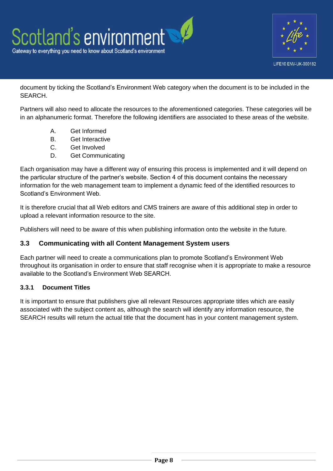

document by ticking the Scotland's Environment Web category when the document is to be included in the SEARCH.

Partners will also need to allocate the resources to the aforementioned categories. These categories will be in an alphanumeric format. Therefore the following identifiers are associated to these areas of the website.

- A. Get Informed
- B. Get Interactive
- C. Get Involved
- D. Get Communicating

Each organisation may have a different way of ensuring this process is implemented and it will depend on the particular structure of the partner's website. Section 4 of this document contains the necessary information for the web management team to implement a dynamic feed of the identified resources to Scotland's Environment Web.

It is therefore crucial that all Web editors and CMS trainers are aware of this additional step in order to upload a relevant information resource to the site.

Publishers will need to be aware of this when publishing information onto the website in the future.

#### **3.3 Communicating with all Content Management System users**

Each partner will need to create a communications plan to promote Scotland's Environment Web throughout its organisation in order to ensure that staff recognise when it is appropriate to make a resource available to the Scotland's Environment Web SEARCH.

#### **3.3.1 Document Titles**

It is important to ensure that publishers give all relevant Resources appropriate titles which are easily associated with the subject content as, although the search will identify any information resource, the SEARCH results will return the actual title that the document has in your content management system.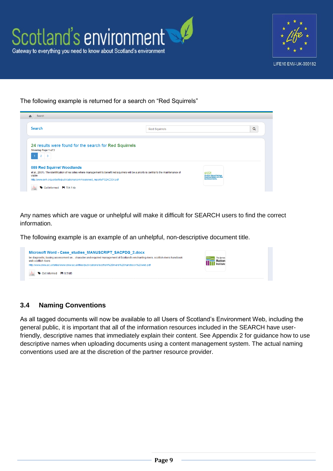

The following example is returned for a search on "Red Squirrels"

| Search                                                                                                                                                 | <b>Red Squirrels</b> | $\alpha$ |
|--------------------------------------------------------------------------------------------------------------------------------------------------------|----------------------|----------|
| 24 results were found for the search for Red Squirrels                                                                                                 |                      |          |
| Showing Page 1 of 3<br>089 Red Squirrel Woodlands                                                                                                      |                      |          |
| et al., 2001). The identification of key sites where management to benefit red squirrels will be a priority is central to the maintenance of<br>viable |                      |          |

Any names which are vague or unhelpful will make it difficult for SEARCH users to find the correct information.

The following example is an example of an unhelpful, non-descriptive document title.



#### **3.4 Naming Conventions**

As all tagged documents will now be available to all Users of Scotland's Environment Web, including the general public, it is important that all of the information resources included in the SEARCH have userfriendly, descriptive names that immediately explain their content. See Appendix 2 for guidance how to use descriptive names when uploading documents using a content management system. The actual naming conventions used are at the discretion of the partner resource provider.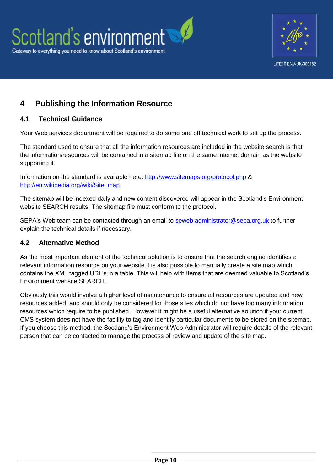

## **4 Publishing the Information Resource**

#### **4.1 Technical Guidance**

Your Web services department will be required to do some one off technical work to set up the process.

The standard used to ensure that all the information resources are included in the website search is that the information/resources will be contained in a sitemap file on the same internet domain as the website supporting it.

Information on the standard is available here:<http://www.sitemaps.org/protocol.php> & [http://en.wikipedia.org/wiki/Site\\_map](http://en.wikipedia.org/wiki/Site_map)

The sitemap will be indexed daily and new content discovered will appear in the Scotland's Environment website SEARCH results. The sitemap file must conform to the protocol.

SEPA's Web team can be contacted through an email to [seweb.administrator@sepa.org.uk](mailto:seweb.administrator@sepa.org.uk) to further explain the technical details if necessary.

#### **4.2 Alternative Method**

As the most important element of the technical solution is to ensure that the search engine identifies a relevant information resource on your website it is also possible to manually create a site map which contains the XML tagged URL's in a table. This will help with items that are deemed valuable to Scotland's Environment website SEARCH.

Obviously this would involve a higher level of maintenance to ensure all resources are updated and new resources added, and should only be considered for those sites which do not have too many information resources which require to be published. However it might be a useful alternative solution if your current CMS system does not have the facility to tag and identify particular documents to be stored on the sitemap. If you choose this method, the Scotland's Environment Web Administrator will require details of the relevant person that can be contacted to manage the process of review and update of the site map.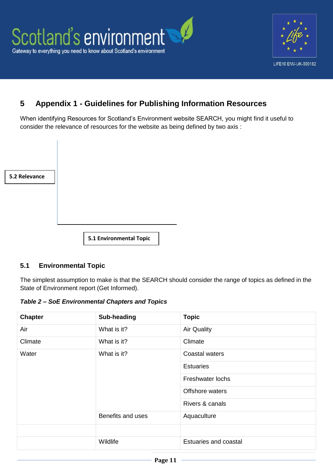

## **5 Appendix 1 - Guidelines for Publishing Information Resources**

When identifying Resources for Scotland's Environment website SEARCH, you might find it useful to consider the relevance of resources for the website as being defined by two axis :

| 5.2 Relevance |                         |
|---------------|-------------------------|
|               |                         |
|               |                         |
|               | 5.1 Environmental Topic |

#### **5.1 Environmental Topic**

The simplest assumption to make is that the SEARCH should consider the range of topics as defined in the State of Environment report (Get Informed).

*Table 2 – SoE Environmental Chapters and Topics*

| <b>Chapter</b> | Sub-heading       | <b>Topic</b>          |
|----------------|-------------------|-----------------------|
| Air            | What is it?       | <b>Air Quality</b>    |
| Climate        | What is it?       | Climate               |
| Water          | What is it?       | <b>Coastal waters</b> |
|                |                   | <b>Estuaries</b>      |
|                |                   | Freshwater lochs      |
|                |                   | Offshore waters       |
|                |                   | Rivers & canals       |
|                | Benefits and uses | Aquaculture           |
|                |                   |                       |
|                | Wildlife          | Estuaries and coastal |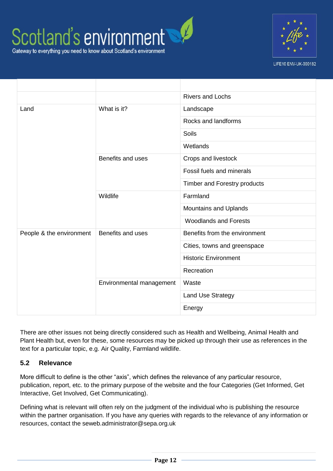



LIFE10 ENV-UK-000182

|                          |                          | <b>Rivers and Lochs</b>       |
|--------------------------|--------------------------|-------------------------------|
| Land                     | What is it?              | Landscape                     |
|                          |                          | Rocks and landforms           |
|                          |                          | Soils                         |
|                          |                          | Wetlands                      |
|                          | Benefits and uses        | Crops and livestock           |
|                          |                          | Fossil fuels and minerals     |
|                          |                          | Timber and Forestry products  |
|                          | Wildlife                 | Farmland                      |
|                          |                          | Mountains and Uplands         |
|                          |                          | <b>Woodlands and Forests</b>  |
| People & the environment | Benefits and uses        | Benefits from the environment |
|                          |                          | Cities, towns and greenspace  |
|                          |                          | <b>Historic Environment</b>   |
|                          |                          | Recreation                    |
|                          | Environmental management | Waste                         |
|                          |                          | <b>Land Use Strategy</b>      |
|                          |                          | Energy                        |

There are other issues not being directly considered such as Health and Wellbeing, Animal Health and Plant Health but, even for these, some resources may be picked up through their use as references in the text for a particular topic, e.g. Air Quality, Farmland wildlife.

#### **5.2 Relevance**

More difficult to define is the other "axis", which defines the relevance of any particular resource, publication, report, etc. to the primary purpose of the website and the four Categories (Get Informed, Get Interactive, Get Involved, Get Communicating).

Defining what is relevant will often rely on the judgment of the individual who is publishing the resource within the partner organisation. If you have any queries with regards to the relevance of any information or resources, contact the seweb.administrator@sepa.org.uk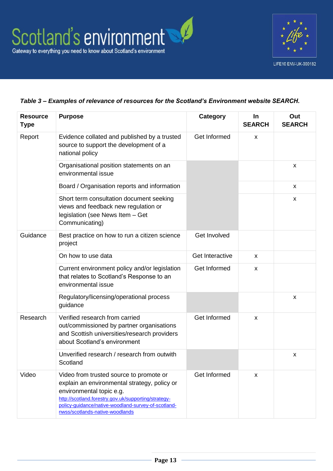

#### *Table 3 – Examples of relevance of resources for the Scotland's Environment website SEARCH.*

| <b>Resource</b><br><b>Type</b> | <b>Purpose</b>                                                                                                                                                                                                                                                        | <b>Category</b>     | In<br><b>SEARCH</b> | Out<br><b>SEARCH</b> |
|--------------------------------|-----------------------------------------------------------------------------------------------------------------------------------------------------------------------------------------------------------------------------------------------------------------------|---------------------|---------------------|----------------------|
| Report                         | Evidence collated and published by a trusted<br>source to support the development of a<br>national policy                                                                                                                                                             | Get Informed        | X                   |                      |
|                                | Organisational position statements on an<br>environmental issue                                                                                                                                                                                                       |                     |                     | X                    |
|                                | Board / Organisation reports and information                                                                                                                                                                                                                          |                     |                     | X                    |
|                                | Short term consultation document seeking<br>views and feedback new regulation or<br>legislation (see News Item - Get<br>Communicating)                                                                                                                                |                     |                     | X                    |
| Guidance                       | Best practice on how to run a citizen science<br>project                                                                                                                                                                                                              | <b>Get Involved</b> |                     |                      |
|                                | On how to use data                                                                                                                                                                                                                                                    | Get Interactive     | X                   |                      |
|                                | Current environment policy and/or legislation<br>that relates to Scotland's Response to an<br>environmental issue                                                                                                                                                     | Get Informed        | X                   |                      |
|                                | Regulatory/licensing/operational process<br>guidance                                                                                                                                                                                                                  |                     |                     | X                    |
| Research                       | Verified research from carried<br>out/commissioned by partner organisations<br>and Scottish universities/research providers<br>about Scotland's environment                                                                                                           | Get Informed        | X                   |                      |
|                                | Unverified research / research from outwith<br>Scotland                                                                                                                                                                                                               |                     |                     | X                    |
| Video                          | Video from trusted source to promote or<br>explain an environmental strategy, policy or<br>environmental topic e.g.<br>http://scotland.forestry.gov.uk/supporting/strategy-<br>policy-guidance/native-woodland-survey-of-scotland-<br>nwss/scotlands-native-woodlands | Get Informed        | X                   |                      |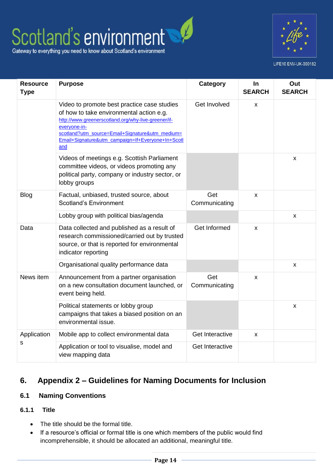## Scotland's environment Gateway to everything you need to know about Scotland's environment



LIFE10 ENV-UK-000182

| <b>Resource</b><br><b>Type</b> | <b>Purpose</b>                                                                                                                                                                                                                                                                | Category             | In<br><b>SEARCH</b> | Out<br><b>SEARCH</b> |
|--------------------------------|-------------------------------------------------------------------------------------------------------------------------------------------------------------------------------------------------------------------------------------------------------------------------------|----------------------|---------------------|----------------------|
|                                | Video to promote best practice case studies<br>of how to take environmental action e.g.<br>http://www.greenerscotland.org/why-live-greener/if-<br>everyone-in-<br>scotland?utm_source=Email+Signature&utm_medium=<br>Email+Signature&utm_campaign=If+Everyone+In+Scotl<br>and | Get Involved         | x                   |                      |
|                                | Videos of meetings e.g. Scottish Parliament<br>committee videos, or videos promoting any<br>political party, company or industry sector, or<br>lobby groups                                                                                                                   |                      |                     | X                    |
| <b>Blog</b>                    | Factual, unbiased, trusted source, about<br><b>Scotland's Environment</b>                                                                                                                                                                                                     | Get<br>Communicating | X                   |                      |
|                                | Lobby group with political bias/agenda                                                                                                                                                                                                                                        |                      |                     | X                    |
| Data                           | Data collected and published as a result of<br>research commissioned/carried out by trusted<br>source, or that is reported for environmental<br>indicator reporting                                                                                                           | Get Informed         | X                   |                      |
|                                | Organisational quality performance data                                                                                                                                                                                                                                       |                      |                     | X                    |
| News item                      | Announcement from a partner organisation<br>on a new consultation document launched, or<br>event being held.                                                                                                                                                                  | Get<br>Communicating | X                   |                      |
|                                | Political statements or lobby group<br>campaigns that takes a biased position on an<br>environmental issue.                                                                                                                                                                   |                      |                     | $\pmb{\mathsf{X}}$   |
| Application                    | Mobile app to collect environmental data                                                                                                                                                                                                                                      | Get Interactive      | X                   |                      |
| S                              | Application or tool to visualise, model and<br>view mapping data                                                                                                                                                                                                              | Get Interactive      |                     |                      |

## **6. Appendix 2 – Guidelines for Naming Documents for Inclusion**

#### **6.1 Naming Conventions**

#### **6.1.1 Title**

- The title should be the formal title.
- If a resource's official or formal title is one which members of the public would find incomprehensible, it should be allocated an additional, meaningful title.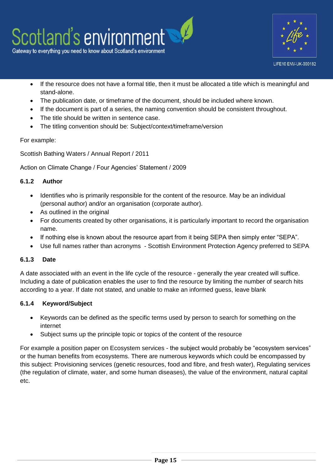



- If the resource does not have a formal title, then it must be allocated a title which is meaningful and stand-alone.
- The publication date, or timeframe of the document, should be included where known.
- If the document is part of a series, the naming convention should be consistent throughout.
- The title should be written in sentence case.
- The titling convention should be: Subiect/context/timeframe/version

#### For example:

Scottish Bathing Waters / Annual Report / 2011

Action on Climate Change / Four Agencies' Statement / 2009

#### **6.1.2 Author**

- Identifies who is primarily responsible for the content of the resource. May be an individual (personal author) and/or an organisation (corporate author).
- As outlined in the original
- For documents created by other organisations, it is particularly important to record the organisation name.
- If nothing else is known about the resource apart from it being SEPA then simply enter "SEPA".
- Use full names rather than acronyms Scottish Environment Protection Agency preferred to SEPA

#### **6.1.3 Date**

A date associated with an event in the life cycle of the resource - generally the year created will suffice. Including a date of publication enables the user to find the resource by limiting the number of search hits according to a year. If date not stated, and unable to make an informed guess, leave blank

#### **6.1.4 Keyword/Subject**

- Keywords can be defined as the specific terms used by person to search for something on the internet
- Subject sums up the principle topic or topics of the content of the resource

For example a position paper on Ecosystem services - the subject would probably be "ecosystem services" or the human benefits from ecosystems. There are numerous keywords which could be encompassed by this subject: Provisioning services (genetic resources, food and fibre, and fresh water), Regulating services (the regulation of climate, water, and some human diseases), the value of the environment, natural capital etc.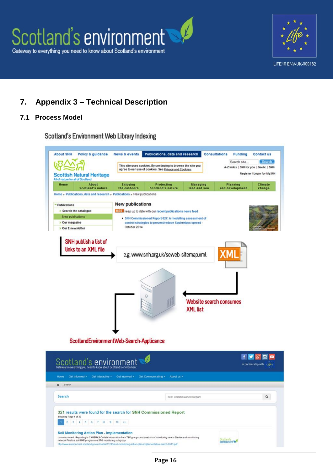



## **7. Appendix 3 – Technical Description**

#### **7.1 Process Model**

Scotland's Environment Web Library Indexing